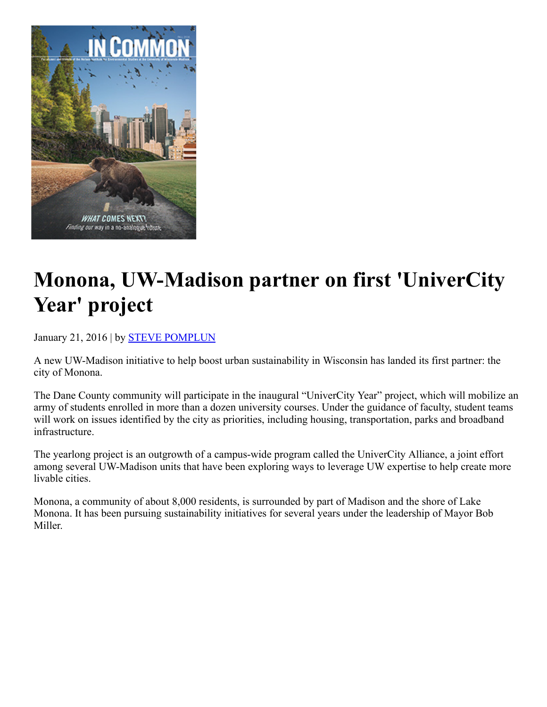

## Monona, UW-Madison partner on first 'UniverCity Year' project

[Januar](https://nelson.wisc.edu/news/index.php)y 21, 2016 | by **STEVE POMPLUN** 

A new UW-Madison initiative to help boost urban sustainability in Wisconsin has landed its first partner: the city of Monona.

The Dane County community will participate in the inaugural "UniverCity Year" project, which will mobilize an army of students enrolled in more than a dozen university courses. Under the guidance of faculty, student teams will work on issues identified by the city as priorities, including housing, transportation, parks and broadband infrastructure.

The yearlong project is an outgrowth of a campus-wide program called the UniverCity Alliance, a joint effort among several UW-Madison units that have been exploring ways to leverage UW expertise to help create more livable cities.

Monona, a community of about 8,000 residents, is surrounded by part of Madison and the shore of Lake Monona. It has been pursuing sustainability initiatives for several years under the leadership of Mayor Bob Miller.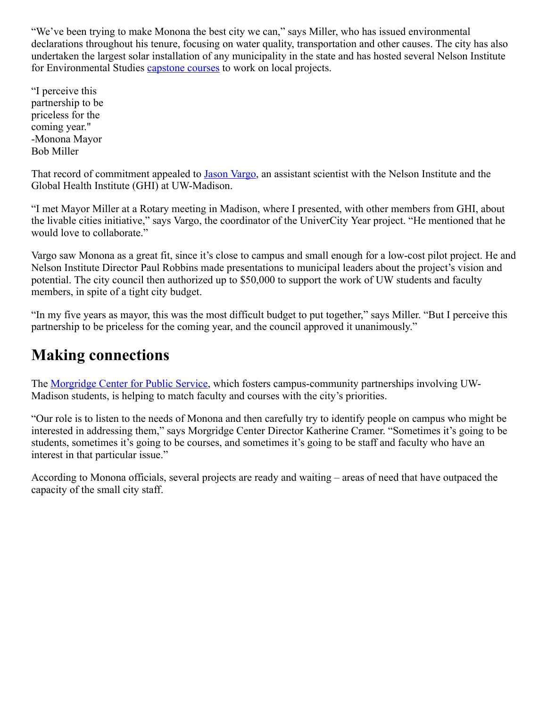"We've been trying to make Monona the best city we can," says Miller, who has issued environmental declarations throughout his tenure, focusing on water quality, transportation and other causes. The city has also undertaken the largest solar installation of any municipality in the state and has hosted several Nelson Institute for Environmental Studies [capstone](https://nelson.wisc.edu/undergraduate/capstone/index.php) courses to work on local projects.

"I perceive this partnership to be priceless for the coming year." Monona Mayor Bob Miller

That record of commitment appealed to Jason [Vargo,](https://nelson.wisc.edu/sage/people/profile.php?p=1546) an assistant scientist with the Nelson Institute and the Global Health Institute (GHI) at UW-Madison.

"I met Mayor Miller at a Rotary meeting in Madison, where I presented, with other members from GHI, about the livable cities initiative," says Vargo, the coordinator of the UniverCity Year project. "He mentioned that he would love to collaborate."

Vargo saw Monona as a great fit, since it's close to campus and small enough for a lowcost pilot project. He and Nelson Institute Director Paul Robbins made presentations to municipal leaders about the project's vision and potential. The city council then authorized up to \$50,000 to support the work of UW students and faculty members, in spite of a tight city budget.

"In my five years as mayor, this was the most difficult budget to put together," says Miller. "But I perceive this partnership to be priceless for the coming year, and the council approved it unanimously."

## Making connections

The [Morgridge](http://morgridge.wisc.edu/) Center for Public Service, which fosters campus-community partnerships involving UW-Madison students, is helping to match faculty and courses with the city's priorities.

"Our role is to listen to the needs of Monona and then carefully try to identify people on campus who might be interested in addressing them," says Morgridge Center Director Katherine Cramer. "Sometimes it's going to be students, sometimes it's going to be courses, and sometimes it's going to be staff and faculty who have an interest in that particular issue."

According to Monona officials, several projects are ready and waiting – areas of need that have outpaced the capacity of the small city staff.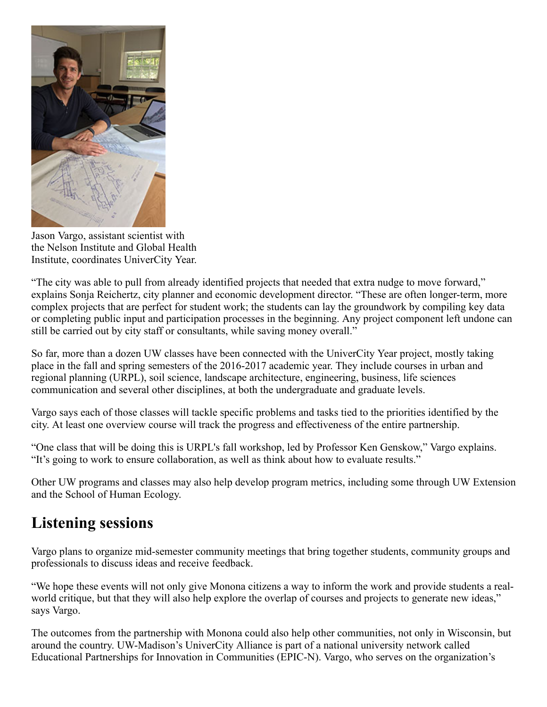

Jason Vargo, assistant scientist with the Nelson Institute and Global Health Institute, coordinates UniverCity Year.

"The city was able to pull from already identified projects that needed that extra nudge to move forward," explains Sonja Reichertz, city planner and economic development director. "These are often longer-term, more complex projects that are perfect for student work; the students can lay the groundwork by compiling key data or completing public input and participation processes in the beginning. Any project component left undone can still be carried out by city staff or consultants, while saving money overall."

So far, more than a dozen UW classes have been connected with the UniverCity Year project, mostly taking place in the fall and spring semesters of the 2016-2017 academic year. They include courses in urban and regional planning (URPL), soil science, landscape architecture, engineering, business, life sciences communication and several other disciplines, at both the undergraduate and graduate levels.

Vargo says each of those classes will tackle specific problems and tasks tied to the priorities identified by the city. At least one overview course will track the progress and effectiveness of the entire partnership.

"One class that will be doing this is URPL's fall workshop, led by Professor Ken Genskow," Vargo explains. "It's going to work to ensure collaboration, as well as think about how to evaluate results."

Other UW programs and classes may also help develop program metrics, including some through UW Extension and the School of Human Ecology.

## Listening sessions

Vargo plans to organize mid-semester community meetings that bring together students, community groups and professionals to discuss ideas and receive feedback.

"We hope these events will not only give Monona citizens a way to inform the work and provide students a realworld critique, but that they will also help explore the overlap of courses and projects to generate new ideas," says Vargo.

The outcomes from the partnership with Monona could also help other communities, not only in Wisconsin, but around the country. UW-Madison's UniverCity Alliance is part of a national university network called Educational Partnerships for Innovation in Communities (EPIC-N). Vargo, who serves on the organization's